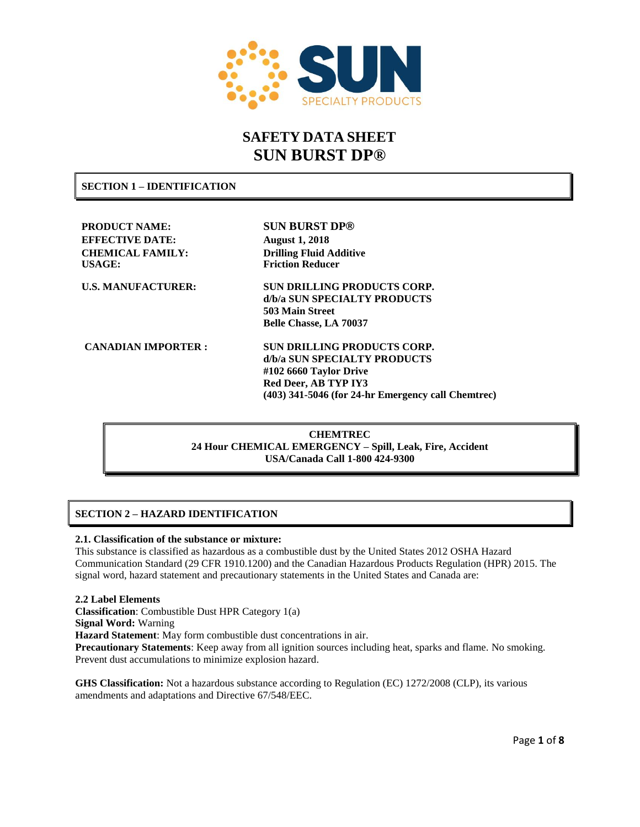

# **SAFETY DATA SHEET SUN BURST DP®**

**SECTION 1 – IDENTIFICATION**

**PRODUCT NAME: SUN BURST DP® EFFECTIVE DATE: August 1, 2018 CHEMICAL FAMILY: Drilling Fluid Additive USAGE: Friction Reducer U.S. MANUFACTURER: SUN DRILLING PRODUCTS CORP. d/b/a SUN SPECIALTY PRODUCTS 503 Main Street Belle Chasse, LA 70037 CANADIAN IMPORTER : SUN DRILLING PRODUCTS CORP. d/b/a SUN SPECIALTY PRODUCTS #102 6660 Taylor Drive Red Deer, AB TYP IY3 (403) 341-5046 (for 24-hr Emergency call Chemtrec)**

> **CHEMTREC 24 Hour CHEMICAL EMERGENCY – Spill, Leak, Fire, Accident USA/Canada Call 1-800 424-9300**

# **SECTION 2 – HAZARD IDENTIFICATION**

#### **2.1. Classification of the substance or mixture:**

This substance is classified as hazardous as a combustible dust by the United States 2012 OSHA Hazard Communication Standard (29 CFR 1910.1200) and the Canadian Hazardous Products Regulation (HPR) 2015. The signal word, hazard statement and precautionary statements in the United States and Canada are:

#### **2.2 Label Elements**

**Classification**: Combustible Dust HPR Category 1(a)

**Signal Word:** Warning

**Hazard Statement**: May form combustible dust concentrations in air.

**Precautionary Statements**: Keep away from all ignition sources including heat, sparks and flame. No smoking. Prevent dust accumulations to minimize explosion hazard.

**GHS Classification:** Not a hazardous substance according to Regulation (EC) 1272/2008 (CLP), its various amendments and adaptations and Directive 67/548/EEC.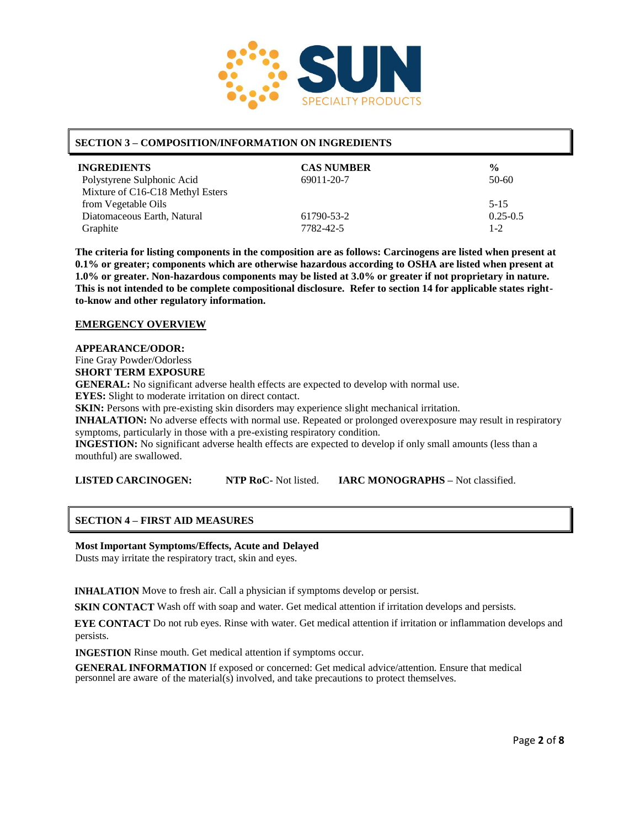

#### **SECTION 3 – COMPOSITION/INFORMATION ON INGREDIENTS**

| <b>INGREDIENTS</b>               | <b>CAS NUMBER</b> | $\frac{0}{0}$ |
|----------------------------------|-------------------|---------------|
| Polystyrene Sulphonic Acid       | 69011-20-7        | $50-60$       |
| Mixture of C16-C18 Methyl Esters |                   |               |
| from Vegetable Oils              |                   | $5 - 15$      |
| Diatomaceous Earth, Natural      | 61790-53-2        | $0.25 - 0.5$  |
| Graphite                         | 7782-42-5         | $1 - 2$       |

**The criteria for listing components in the composition are as follows: Carcinogens are listed when present at 0.1% or greater; components which are otherwise hazardous according to OSHA are listed when present at 1.0% or greater. Non-hazardous components may be listed at 3.0% or greater if not proprietary in nature. This is not intended to be complete compositional disclosure. Refer to section 14 for applicable states rightto-know and other regulatory information.**

#### **EMERGENCY OVERVIEW**

#### **APPEARANCE/ODOR:**

Fine Gray Powder/Odorless

**SHORT TERM EXPOSURE**

**GENERAL:** No significant adverse health effects are expected to develop with normal use.

**EYES:** Slight to moderate irritation on direct contact.

**SKIN:** Persons with pre-existing skin disorders may experience slight mechanical irritation.

**INHALATION:** No adverse effects with normal use. Repeated or prolonged overexposure may result in respiratory symptoms, particularly in those with a pre-existing respiratory condition.

**INGESTION:** No significant adverse health effects are expected to develop if only small amounts (less than a mouthful) are swallowed.

**LISTED CARCINOGEN: NTP RoC-** Not listed. **IARC MONOGRAPHS –** Not classified.

#### **SECTION 4 – FIRST AID MEASURES**

#### **Most Important Symptoms/Effects, Acute and Delayed**

Dusts may irritate the respiratory tract, skin and eyes.

**INHALATION** Move to fresh air. Call a physician if symptoms develop or persist.

**SKIN CONTACT** Wash off with soap and water. Get medical attention if irritation develops and persists.

**EYE CONTACT** Do not rub eyes. Rinse with water. Get medical attention if irritation or inflammation develops and persists.

**INGESTION** Rinse mouth. Get medical attention if symptoms occur.

**GENERAL INFORMATION** If exposed or concerned: Get medical advice/attention. Ensure that medical personnel are aware of the material(s) involved, and take precautions to protect themselves.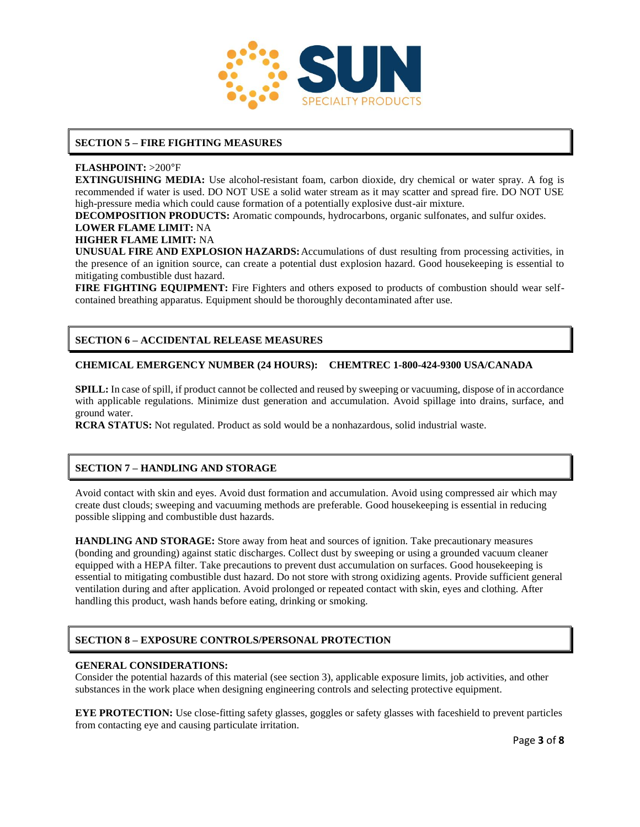

### **SECTION 5 – FIRE FIGHTING MEASURES**

#### **FLASHPOINT:** >200°F

**EXTINGUISHING MEDIA:** Use alcohol-resistant foam, carbon dioxide, dry chemical or water spray. A fog is recommended if water is used. DO NOT USE a solid water stream as it may scatter and spread fire. DO NOT USE high-pressure media which could cause formation of a potentially explosive dust-air mixture.

**DECOMPOSITION PRODUCTS:** Aromatic compounds, hydrocarbons, organic sulfonates, and sulfur oxides.

#### **LOWER FLAME LIMIT:** NA

#### **HIGHER FLAME LIMIT:** NA

**UNUSUAL FIRE AND EXPLOSION HAZARDS:**Accumulations of dust resulting from processing activities, in the presence of an ignition source, can create a potential dust explosion hazard. Good housekeeping is essential to mitigating combustible dust hazard.

**FIRE FIGHTING EQUIPMENT:** Fire Fighters and others exposed to products of combustion should wear selfcontained breathing apparatus. Equipment should be thoroughly decontaminated after use.

# **SECTION 6 – ACCIDENTAL RELEASE MEASURES**

#### **CHEMICAL EMERGENCY NUMBER (24 HOURS): CHEMTREC 1-800-424-9300 USA/CANADA**

**SPILL:** In case of spill, if product cannot be collected and reused by sweeping or vacuuming, dispose of in accordance with applicable regulations. Minimize dust generation and accumulation. Avoid spillage into drains, surface, and ground water.

**RCRA STATUS:** Not regulated. Product as sold would be a nonhazardous, solid industrial waste.

# **SECTION 7 – HANDLING AND STORAGE**

Avoid contact with skin and eyes. Avoid dust formation and accumulation. Avoid using compressed air which may create dust clouds; sweeping and vacuuming methods are preferable. Good housekeeping is essential in reducing possible slipping and combustible dust hazards.

**HANDLING AND STORAGE:** Store away from heat and sources of ignition. Take precautionary measures (bonding and grounding) against static discharges. Collect dust by sweeping or using a grounded vacuum cleaner equipped with a HEPA filter. Take precautions to prevent dust accumulation on surfaces. Good housekeeping is essential to mitigating combustible dust hazard. Do not store with strong oxidizing agents. Provide sufficient general ventilation during and after application. Avoid prolonged or repeated contact with skin, eyes and clothing. After handling this product, wash hands before eating, drinking or smoking.

# **SECTION 8 – EXPOSURE CONTROLS/PERSONAL PROTECTION**

#### **GENERAL CONSIDERATIONS:**

Consider the potential hazards of this material (see section 3), applicable exposure limits, job activities, and other substances in the work place when designing engineering controls and selecting protective equipment.

**EYE PROTECTION:** Use close-fitting safety glasses, goggles or safety glasses with faceshield to prevent particles from contacting eye and causing particulate irritation.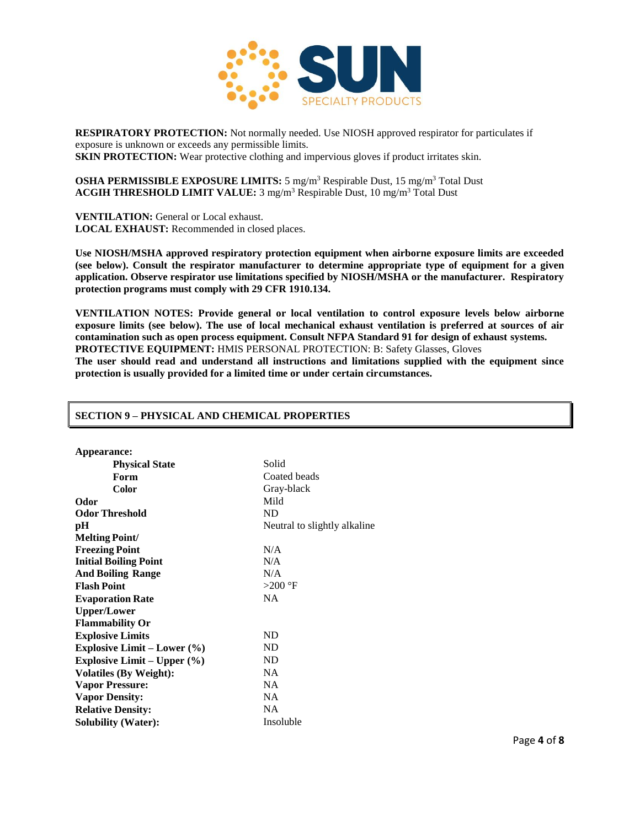

**RESPIRATORY PROTECTION:** Not normally needed. Use NIOSH approved respirator for particulates if exposure is unknown or exceeds any permissible limits. **SKIN PROTECTION:** Wear protective clothing and impervious gloves if product irritates skin.

**OSHA PERMISSIBLE EXPOSURE LIMITS:** 5 mg/m<sup>3</sup> Respirable Dust, 15 mg/m<sup>3</sup> Total Dust **ACGIH THRESHOLD LIMIT VALUE:** 3 mg/m<sup>3</sup> Respirable Dust, 10 mg/m<sup>3</sup> Total Dust

**VENTILATION:** General or Local exhaust. **LOCAL EXHAUST:** Recommended in closed places.

**Use NIOSH/MSHA approved respiratory protection equipment when airborne exposure limits are exceeded (see below). Consult the respirator manufacturer to determine appropriate type of equipment for a given application. Observe respirator use limitations specified by NIOSH/MSHA or the manufacturer. Respiratory protection programs must comply with 29 CFR 1910.134.**

**VENTILATION NOTES: Provide general or local ventilation to control exposure levels below airborne exposure limits (see below). The use of local mechanical exhaust ventilation is preferred at sources of air contamination such as open process equipment. Consult NFPA Standard 91 for design of exhaust systems. PROTECTIVE EQUIPMENT:** HMIS PERSONAL PROTECTION: B: Safety Glasses, Gloves

**The user should read and understand all instructions and limitations supplied with the equipment since protection is usually provided for a limited time or under certain circumstances.**

| Appearance:                     |                              |
|---------------------------------|------------------------------|
| <b>Physical State</b>           | Solid                        |
| Form                            | Coated beads                 |
| <b>Color</b>                    | Gray-black                   |
| Odor                            | Mild                         |
| <b>Odor Threshold</b>           | <b>ND</b>                    |
| pН                              | Neutral to slightly alkaline |
| <b>Melting Point/</b>           |                              |
| <b>Freezing Point</b>           | N/A                          |
| <b>Initial Boiling Point</b>    | N/A                          |
| <b>And Boiling Range</b>        | N/A                          |
| <b>Flash Point</b>              | $>200$ °F                    |
| <b>Evaporation Rate</b>         | <b>NA</b>                    |
| <b>Upper/Lower</b>              |                              |
| <b>Flammability Or</b>          |                              |
| <b>Explosive Limits</b>         | ND                           |
| Explosive Limit – Lower $(\% )$ | ND.                          |
| Explosive Limit – Upper $(\% )$ | ND.                          |
| <b>Volatiles (By Weight):</b>   | NA                           |
| <b>Vapor Pressure:</b>          | NA.                          |
| <b>Vapor Density:</b>           | NA                           |
| <b>Relative Density:</b>        | <b>NA</b>                    |
| <b>Solubility (Water):</b>      | Insoluble                    |
|                                 |                              |

#### **SECTION 9 – PHYSICAL AND CHEMICAL PROPERTIES**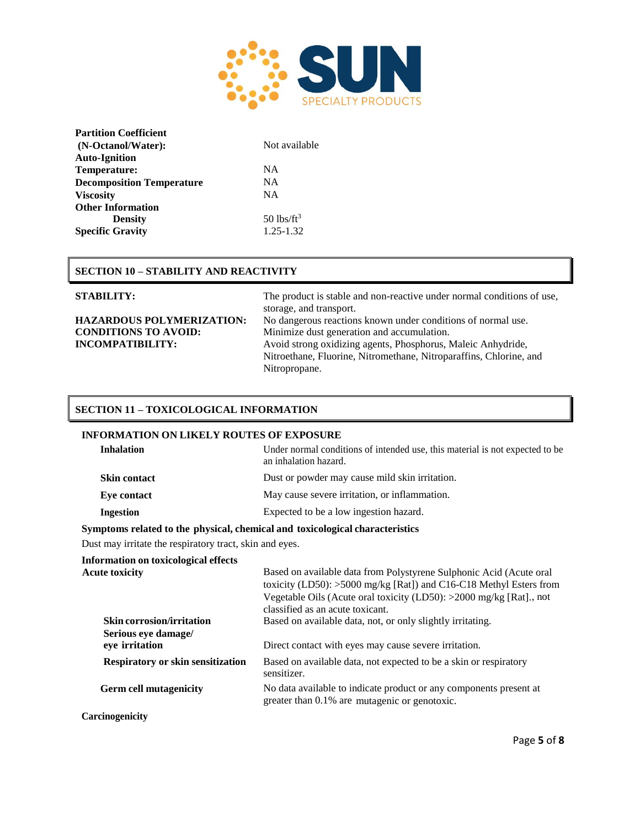

| <b>Partition Coefficient</b>     |                          |
|----------------------------------|--------------------------|
| (N-Octanol/Water):               | Not available            |
| <b>Auto-Ignition</b>             |                          |
| Temperature:                     | NA.                      |
| <b>Decomposition Temperature</b> | NA                       |
| <b>Viscosity</b>                 | <b>NA</b>                |
| <b>Other Information</b>         |                          |
| <b>Density</b>                   | $50$ lbs/ft <sup>3</sup> |
| <b>Specific Gravity</b>          | 1.25-1.32                |

# **SECTION 10 – STABILITY AND REACTIVITY**

**STABILITY:** The product is stable and non-reactive under normal conditions of use, storage, and transport. **HAZARDOUS POLYMERIZATION:** No dangerous reactions known under conditions of normal use. **CONDITIONS TO AVOID:** Minimize dust generation and accumulation. **INCOMPATIBILITY:** Avoid strong oxidizing agents, Phosphorus, Maleic Anhydride, Nitroethane, Fluorine, Nitromethane, Nitroparaffins, Chlorine, and Nitropropane.

### **SECTION 11 – TOXICOLOGICAL INFORMATION**

#### **INFORMATION ON LIKELY ROUTES OF EXPOSURE**

| <b>Inhalation</b>   | Under normal conditions of intended use, this material is not expected to be<br>an inhalation hazard. |
|---------------------|-------------------------------------------------------------------------------------------------------|
| <b>Skin contact</b> | Dust or powder may cause mild skin irritation.                                                        |
| Eye contact         | May cause severe irritation, or inflammation.                                                         |
| <b>Ingestion</b>    | Expected to be a low ingestion hazard.                                                                |
|                     |                                                                                                       |

#### **Symptoms related to the physical, chemical and toxicological characteristics**

Dust may irritate the respiratory tract, skin and eyes.

| Information on toxicological effects<br><b>Acute toxicity</b>             | Based on available data from Polystyrene Sulphonic Acid (Acute oral<br>toxicity (LD50): $>5000$ mg/kg [Rat]) and C16-C18 Methyl Esters from<br>Vegetable Oils (Acute oral toxicity (LD50): >2000 mg/kg [Rat]., not<br>classified as an acute toxicant. |
|---------------------------------------------------------------------------|--------------------------------------------------------------------------------------------------------------------------------------------------------------------------------------------------------------------------------------------------------|
| <b>Skin corrosion/irritation</b><br>Serious eye damage/<br>eye irritation | Based on available data, not, or only slightly irritating.<br>Direct contact with eyes may cause severe irritation.                                                                                                                                    |
| <b>Respiratory or skin sensitization</b>                                  | Based on available data, not expected to be a skin or respiratory<br>sensitizer.                                                                                                                                                                       |
| <b>Germ cell mutagenicity</b>                                             | No data available to indicate product or any components present at<br>greater than 0.1% are mutagenic or genotoxic.                                                                                                                                    |
| <b>Carcinogenicity</b>                                                    |                                                                                                                                                                                                                                                        |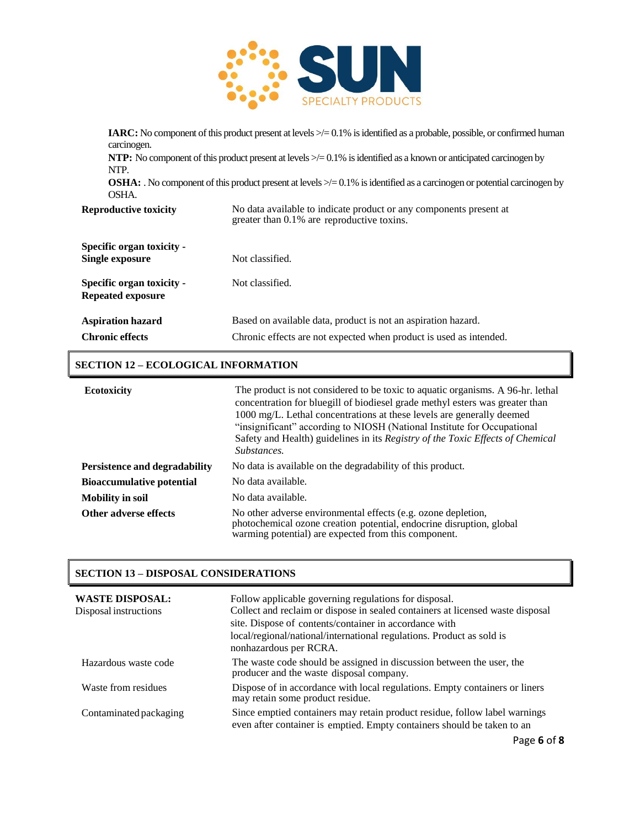

| carcinogen.<br>NTP.<br>OSHA.                          | <b>IARC:</b> No component of this product present at levels $\geq$ = 0.1% is identified as a probable, possible, or confirmed human<br><b>NTP:</b> No component of this product present at levels $\geq$ 0.1% is identified as a known or anticipated carcinogen by<br><b>OSHA:</b> No component of this product present at levels $\geq$ = 0.1% is identified as a carcinogen or potential carcinogen by |
|-------------------------------------------------------|-----------------------------------------------------------------------------------------------------------------------------------------------------------------------------------------------------------------------------------------------------------------------------------------------------------------------------------------------------------------------------------------------------------|
| <b>Reproductive toxicity</b>                          | No data available to indicate product or any components present at<br>greater than 0.1% are reproductive toxins.                                                                                                                                                                                                                                                                                          |
| Specific organ toxicity -<br>Single exposure          | Not classified.                                                                                                                                                                                                                                                                                                                                                                                           |
| Specific organ toxicity -<br><b>Repeated exposure</b> | Not classified.                                                                                                                                                                                                                                                                                                                                                                                           |
| <b>Aspiration hazard</b><br><b>Chronic effects</b>    | Based on available data, product is not an aspiration hazard.<br>Chronic effects are not expected when product is used as intended.                                                                                                                                                                                                                                                                       |

# **SECTION 12 – ECOLOGICAL INFORMATION**

| <b>Ecotoxicity</b>                   | The product is not considered to be toxic to aquatic organisms. A 96-hr. lethal<br>concentration for bluegill of biodiesel grade methyl esters was greater than<br>1000 mg/L. Lethal concentrations at these levels are generally deemed<br>"insignificant" according to NIOSH (National Institute for Occupational<br>Safety and Health) guidelines in its Registry of the Toxic Effects of Chemical<br>Substances. |
|--------------------------------------|----------------------------------------------------------------------------------------------------------------------------------------------------------------------------------------------------------------------------------------------------------------------------------------------------------------------------------------------------------------------------------------------------------------------|
| <b>Persistence and degradability</b> | No data is available on the degradability of this product.                                                                                                                                                                                                                                                                                                                                                           |
| <b>Bioaccumulative potential</b>     | No data available.                                                                                                                                                                                                                                                                                                                                                                                                   |
| <b>Mobility in soil</b>              | No data available.                                                                                                                                                                                                                                                                                                                                                                                                   |
| Other adverse effects                | No other adverse environmental effects (e.g. ozone depletion,<br>photochemical ozone creation potential, endocrine disruption, global<br>warming potential) are expected from this component.                                                                                                                                                                                                                        |

# **SECTION 13 – DISPOSAL CONSIDERATIONS**

| <b>WASTE DISPOSAL:</b><br>Disposal instructions | Follow applicable governing regulations for disposal.<br>Collect and reclaim or dispose in sealed containers at licensed waste disposal<br>site. Dispose of contents/container in accordance with<br>local/regional/national/international regulations. Product as sold is<br>nonhazardous per RCRA. |
|-------------------------------------------------|------------------------------------------------------------------------------------------------------------------------------------------------------------------------------------------------------------------------------------------------------------------------------------------------------|
| Hazardous waste code                            | The waste code should be assigned in discussion between the user, the<br>producer and the waste disposal company.                                                                                                                                                                                    |
| Waste from residues                             | Dispose of in accordance with local regulations. Empty containers or liners<br>may retain some product residue.                                                                                                                                                                                      |
| Contaminated packaging                          | Since emptied containers may retain product residue, follow label warnings<br>even after container is emptied. Empty containers should be taken to an                                                                                                                                                |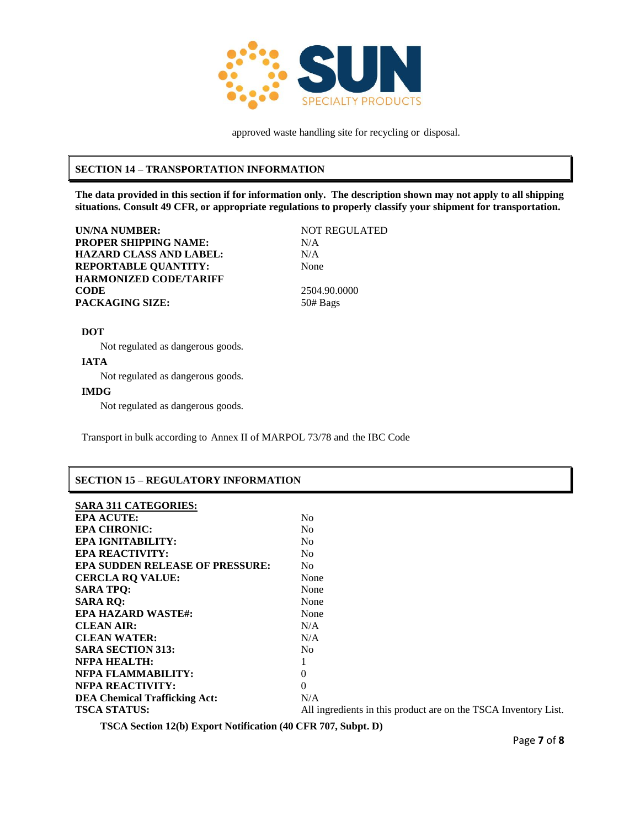

approved waste handling site for recycling or disposal.

### **SECTION 14 – TRANSPORTATION INFORMATION**

**The data provided in this section if for information only. The description shown may not apply to all shipping situations. Consult 49 CFR, or appropriate regulations to properly classify your shipment for transportation.**

**UN/NA NUMBER:** NOT REGULATED **PROPER SHIPPING NAME:** N/A **HAZARD CLASS AND LABEL:** N/A **REPORTABLE QUANTITY:** None **HARMONIZED CODE/TARIFF CODE** 2504.90.0000 PACKAGING SIZE: 50# Bags

#### **DOT**

Not regulated as dangerous goods.

### **IATA**

Not regulated as dangerous goods.

#### **IMDG**

Not regulated as dangerous goods.

Transport in bulk according to Annex II of MARPOL 73/78 and the IBC Code

#### **SECTION 15 – REGULATORY INFORMATION**

| <b>EPA ACUTE:</b>                      | N <sub>0</sub>                                                  |
|----------------------------------------|-----------------------------------------------------------------|
| <b>EPA CHRONIC:</b>                    | N <sub>0</sub>                                                  |
| <b>EPA IGNITABILITY:</b>               | N <sub>0</sub>                                                  |
| <b>EPA REACTIVITY:</b>                 | N <sub>0</sub>                                                  |
| <b>EPA SUDDEN RELEASE OF PRESSURE:</b> | N <sub>0</sub>                                                  |
| <b>CERCLA RO VALUE:</b>                | None                                                            |
| <b>SARA TPO:</b>                       | None                                                            |
| <b>SARA RQ:</b>                        | None                                                            |
| <b>EPA HAZARD WASTE#:</b>              | None                                                            |
| <b>CLEAN AIR:</b>                      | N/A                                                             |
| <b>CLEAN WATER:</b>                    | N/A                                                             |
| <b>SARA SECTION 313:</b>               | N <sub>0</sub>                                                  |
| <b>NFPA HEALTH:</b>                    |                                                                 |
| NFPA FLAMMABILITY:                     | 0                                                               |
| <b>NFPA REACTIVITY:</b>                | 0                                                               |
| <b>DEA Chemical Trafficking Act:</b>   | N/A                                                             |
| <b>TSCA STATUS:</b>                    | All ingredients in this product are on the TSCA Inventory List. |
|                                        |                                                                 |

**TSCA Section 12(b) Export Notification (40 CFR 707, Subpt. D)**